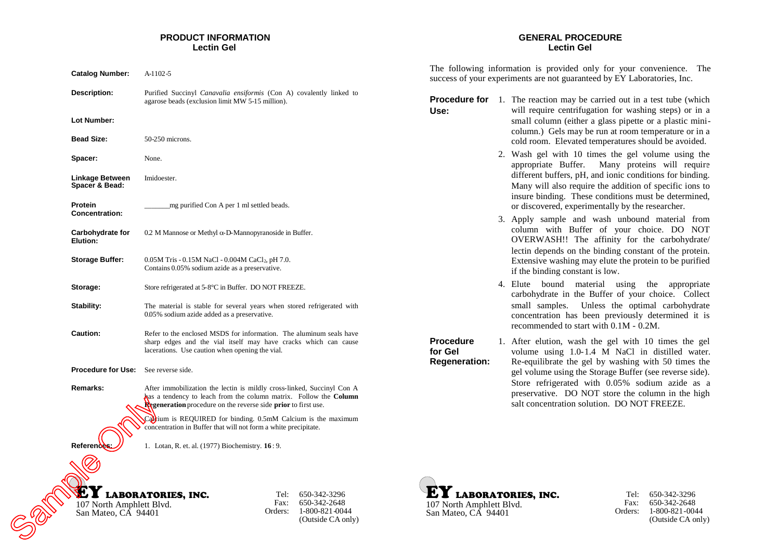# **PRODUCT INFORMATION Lectin Gel**

| <b>Catalog Number:</b>                          | A-1102-5                                                                                                                                                                                                                    |  |
|-------------------------------------------------|-----------------------------------------------------------------------------------------------------------------------------------------------------------------------------------------------------------------------------|--|
| Description:                                    | Purified Succinyl Canavalia ensiformis (Con A) covalently linked to<br>agarose beads (exclusion limit MW 5-15 million).                                                                                                     |  |
| Lot Number:                                     |                                                                                                                                                                                                                             |  |
| <b>Bead Size:</b>                               | 50-250 microns.                                                                                                                                                                                                             |  |
| Spacer:                                         | None.                                                                                                                                                                                                                       |  |
| Linkage Between<br>Spacer & Bead:               | Imidoester.                                                                                                                                                                                                                 |  |
| Protein<br><b>Concentration:</b>                | mg purified Con A per 1 ml settled beads.                                                                                                                                                                                   |  |
| Carbohydrate for<br>Elution:                    | 0.2 M Mannose or Methyl $\alpha$ -D-Mannopyranoside in Buffer.                                                                                                                                                              |  |
| <b>Storage Buffer:</b>                          | 0.05M Tris - 0.15M NaCl - 0.004M CaCl <sub>2</sub> , pH 7.0.<br>Contains 0.05% sodium azide as a preservative.                                                                                                              |  |
| Storage:                                        | Store refrigerated at 5-8°C in Buffer. DO NOT FREEZE.                                                                                                                                                                       |  |
| Stability:                                      | The material is stable for several years when stored refrigerated with<br>0.05% sodium azide added as a preservative.                                                                                                       |  |
| <b>Caution:</b>                                 | Refer to the enclosed MSDS for information. The aluminum seals have<br>sharp edges and the vial itself may have cracks which can cause<br>lacerations. Use caution when opening the vial.                                   |  |
| <b>Procedure for Use:</b>                       | See reverse side.                                                                                                                                                                                                           |  |
| Remarks:                                        | After immobilization the lectin is mildly cross-linked, Succinyl Con A<br>has a tendency to leach from the column matrix. Follow the Column<br><b>Regeneration</b> procedure on the reverse side <b>prior</b> to first use. |  |
|                                                 | Caltium is REQUIRED for binding. 0.5mM Calcium is the maximum<br>concentration in Buffer that will not form a white precipitate.                                                                                            |  |
| Referend                                        | 1. Lotan, R. et. al. (1977) Biochemistry. 16: 9.                                                                                                                                                                            |  |
| 107 North Amphlett Blvd.<br>San Mateo, CA 94401 | <b>LABORATORIES, INC.</b><br>Tel:<br>650-342-3296<br>Fax:<br>650-342-2648<br>1-800-821-0044<br>Orders:<br>(Outside CA only)                                                                                                 |  |
|                                                 |                                                                                                                                                                                                                             |  |

# **GENERAL PROCEDURE Lectin Gel**

The following information is provided only for your convenience. The success of your experiments are not guaranteed by EY Laboratories, Inc.

**Procedure for** 1. The reaction may be carried out in a test tube (which **Use:** will require centrifugation for washing steps) or in a small column (either a glass pipette or a plastic minicolumn.) Gels may be run at room temperature or in a cold room. Elevated temperatures should be avoided.

- 2. Wash gel with 10 times the gel volume using the appropriate Buffer. Many proteins will require different buffers, pH, and ionic conditions for binding. Many will also require the addition of specific ions to insure binding. These conditions must be determined, or discovered, experimentally by the researcher.
- 3. Apply sample and wash unbound material from column with Buffer of your choice. DO NOT OVERWASH!! The affinity for the carbohydrate/ lectin depends on the binding constant of the protein. Extensive washing may elute the protein to be purified if the binding constant is low.
- 4. Elute bound material using the appropriate carbohydrate in the Buffer of your choice. Collect small samples. Unless the optimal carbohydrate concentration has been previously determined it is recommended to start with 0.1M - 0.2M.

**Procedure for Gel Regeneration:** 1. After elution, wash the gel with 10 times the gel volume using 1.0-1.4 M NaCl in distilled water. Re-equilibrate the gel by washing with 50 times the gel volume using the Storage Buffer (see reverse side). Store refrigerated with 0.05% sodium azide as a preservative. DO NOT store the column in the high salt concentration solution. DO NOT FREEZE.





Tel: 650-342-3296 Fax: Orders: 1-800-821-0044 650-342-2648 (Outside CA only)